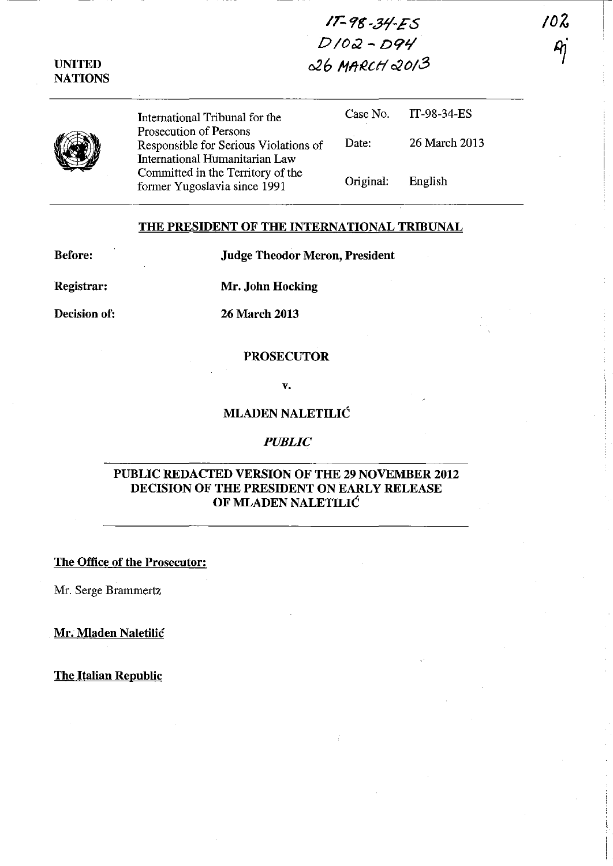# IT- 9& -31'-£S *DIOO2* - D9'1 026 Mfll!.ctf *020/3*

UNITED **NATIONS** 



International Tribunal for the Prosecution of Persons Responsible for Serious Violations of International Humanitarian Law Committed in the Territory of the former Yugoslavia since 1991

|           | Case No. $IT-98-34-ES$ |
|-----------|------------------------|
| Date:     | 26 March 2013          |
| Original: | English                |

----------------,

/oZ

 $\mu$ 

#### THE PRESIDENT OF THE INTERNATIONAL TRIBUNAL

Before:

Judge Theodor Meron, President

Registrar:

Mr. John Hocking

Decision of: 26 March 2013

#### PROSECUTOR

v.

### MLADEN NALETILIC

#### *PUBLIC*

# PUBLIC REDACTED VERSION OF THE 29 NOVEMBER 2012 DECISION OF THE PRESIDENT ON EARLY RELEASE OF MLADEN NALETILIC

The Office of the Prosecutor:

Mr. Serge Brammertz

Mr. Mladen Naletilic

The Italian Republic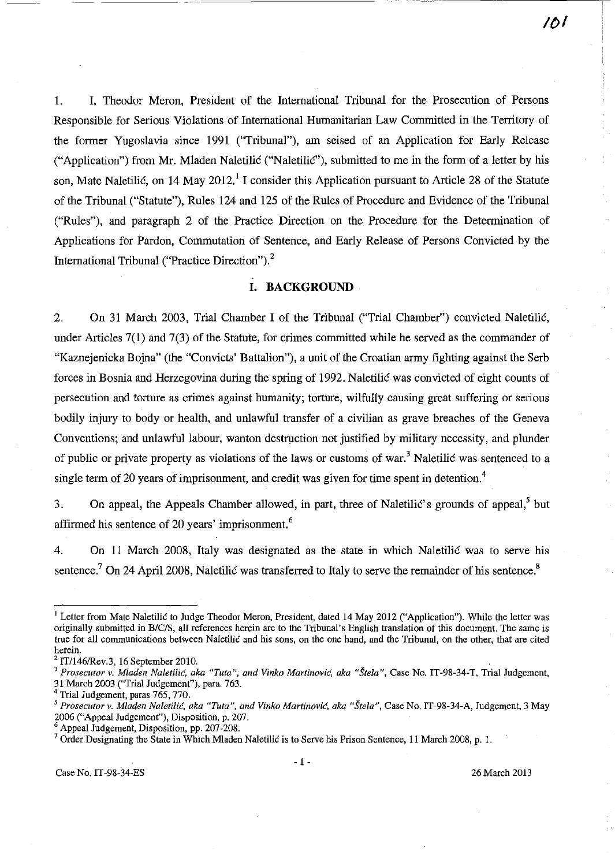1. I, Theodor Meron, President of the International Tribunal for the Prosecution of Persons Responsible for Serious Violations of International Humanitarian Law Committed in the Territory of the former Yugoslavia since 1991 ("Tribunal"), am seised of an Application for Early Release ("Application") from Mr. Mladen Naletilic ("Naletilic"), submitted to me in the form of a letter by his son, Mate Naletilić, on 14 May 2012.<sup>1</sup> I consider this Application pursuant to Article 28 of the Statute of the Tribunal ("Statute"), Rules 124 and 125 of the Rules of Procedure and Evidence of the Tribunal ("Rules"), and paragraph 2 of the Practice Direction on. the Procedure for the Determination of Applications for Pardon, Commutation of Sentence, and Early Release of Persons Convicted by the International Tribunal ("Practice Direction")?

### **I. BACKGROUND**

2. On 31 March 2003, Trial Chamber I of the Tribunal ("Trial Chamber") convicted Naletilic, under Articles 7(1) and 7(3) of the Statute, for crimes committed while he served as the commander of "Kaznejenicka Bojna" (the "Convicts' Battalion"), a unit of the Croatian army fighting against the Serb forces in Bosnia and Herzegovina during the spring of 1992. Naletilic was convicted of eight counts of persecution and torture as crimes against humanity; torture, wilfully causing great suffering or serious bodily injury to body or health, and unlawful transfer of a civilian as grave breaches of the Geneva Conventions; and unlawful labour, wanton destruction not justified by military necessity, and plunder of public or private property as violations of the laws or customs of war.<sup>3</sup> Naletilic was sentenced to a single term of 20 years of imprisonment, and credit was given for time spent in detention.<sup>4</sup>

3. On appeal, the Appeals Chamber allowed, in part, three of Naletilic's grounds of appeal, but affirmed his sentence of 20 years' imprisonment.<sup>6</sup>

4. On 11 March 2008, Italy was designated as the state in which Naletilic was to serve his sentence.<sup>7</sup> On 24 April 2008, Naletilic was transferred to Italy to serve the remainder of his sentence.<sup>8</sup>

<sup>&</sup>lt;sup>1</sup> Letter from Mate Naletilic to Judge Theodor Meron, President, dated 14 May 2012 ("Application"). While the letter was originally submitted in B/C/S, all references herein are to the Tribunal's English translation of this document. The same is **true for all communications between Naletilic and his sons, on the one hand, and the Tribunal, on the other, that are cited herein.** 

 $2$  IT/146/Rev.3, 16 September 2010.

<sup>&</sup>lt;sup>3</sup> Prosecutor v. Mladen Naletilić, aka "Tuta", and Vinko Martinović, aka "Štela", Case No. IT-98-34-T, Trial Judgement, 31 March 2003 ("Trial JUdgement"), para. 763.

Trial Judgement, paras 765, 770.

<sup>&</sup>lt;sup>5</sup> Prosecutor v. Mladen Naletilić, aka "Tuta", and Vinko Martinović, aka "Štela", Case No. IT-98-34-A, Judgement, 3 May 2006 ("Appeal Judgement"), Disposition, p. 207.

<sup>6</sup> Appeal Judgement, Disposition, pp. 207-208.

<sup>&</sup>lt;sup>7</sup> Order Designating the State in Which Mladen Naletilic is to Serve his Prison Sentence, 11 March 2008, p. 1.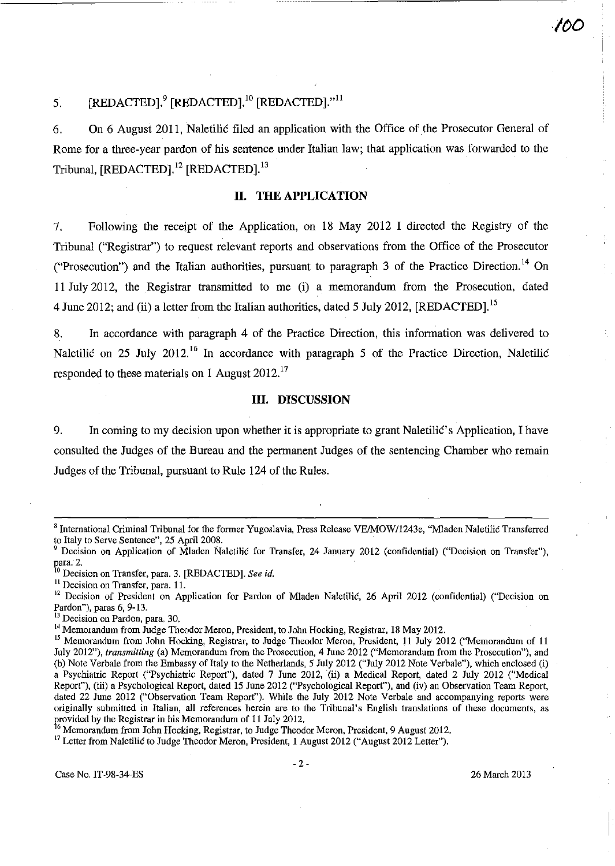I

# 5.  $[REDACTER]$ .<sup>9</sup>  $[REDACTER]$ .<sup>10</sup>  $[REDACTER]$ ."<sup>11</sup>

6. On 6 August 2011, Naletilic filed an application with the Office of the Prosecutor General of Rome for a three-year pardon of his sentence under Italian law; that application was forwarded to the Tribunal, [REDACTED].<sup>12</sup> [REDACTED].<sup>13</sup>

#### **11. THE APPLICATION**

7. Following the receipt of the Application, on 18 May 2012 I directed the Registry of the Tribunal ("Registrar") to request relevant reports and observations from the Office of the Prosecutor ("Prosecution") and the Italian authorities, pursuant to paragraph 3 of the Practice Direction.<sup>14</sup> On 11 July 2012, the Registrar transmitted to me (i) a memorandum from the Prosecution, dated 4 June 2012; and (ii) a letter from the Italian authorities, dated 5 July 2012, [REDACTED].<sup>15</sup>

8. In accordance with paragraph 4 of the Practice Direction, this information was delivered to Naletilic on 25 July 2012.<sup>16</sup> In accordance with paragraph 5 of the Practice Direction, Naletilic responded to these materials on 1 August 2012.<sup>17</sup>

#### **Ill. DISCUSSION**

9. **In** coming to my decision upon whether it is appropriate to grant Naletilic's Application, I have consulted the Judges of the Bureau and the permanent Judges of the sentencing Chamber who remain Judges of the Tribunal, pursuant to Rule 124 of the Rules.

**13 Decision on Pardon, para, 30.** 

<sup>&</sup>lt;sup>8</sup> International Criminal Tribunal for the former Yugoslavia, Press Release VE/MOW/1243e, "Mladen Naletilic Transferred to Italy to Serve Sentence", 25 April 2008.

Decision on Application of Mladen Naletilic for Transfer, 24 January 2012 (confidential) ("Decision on Transfer"), para. 2.

<sup>&</sup>lt;sup>0</sup> Decision on Transfer, para. 3. [REDACTED]. *See id.* 

**II Decision on Transfer, para. 11.** 

<sup>&</sup>lt;sup>12</sup> Decision of President on Application for Pardon of Mladen Naletilić, 26 April 2012 (confidential) ("Decision on Pardon"), paras 6, 9-13.

<sup>&</sup>lt;sup>14</sup> Memorandum from Judge Theodor Meron, President, to John Hocking, Registrar, 18 May 2012.

<sup>&</sup>lt;sup>15</sup> Memorandum from John Hocking, Registrar, to Judge Theodor Meron, President, 11 July 2012 ("Memorandum of 11 July 2012"), *transmitting* (a) Memorandum from the Prosecution, 4 June 2012 ("Memorandum from the Prosecution"), and (b) Note Verbale from the Embassy of Italy to the Netherlands, 5 July 2012 ("July 2012 Note Verbale"), which enclosed (i) a Psychiatric Report ("Psychiatric Report"), dated 7 June 2012, (ii) a Medical Report, dated 2 July 2012 ("Medical Report"), (iii) a Psychological Report, dated 15 June 2012 ("Psychological Report"), and (iv) an Observation Team Report, dated 22 June 2012 ("Observation Team Reporf'). While the July 2012 Note Verbale and accompanying reports were **originally submitted in Italian, all references herein are to the Tribunal's English translations of these documents, as**  provided by the Registrar in his Memorandum of 11 July 2012.

<sup>&</sup>lt;sup>6</sup> Memorandum from John Hocking, Registrar, to Judge Theodor Meron, President, 9 August 2012.

<sup>&</sup>lt;sup>17</sup> Letter from Naletilic to Judge Theodor Meron, President, 1 August 2012 ("August 2012 Letter").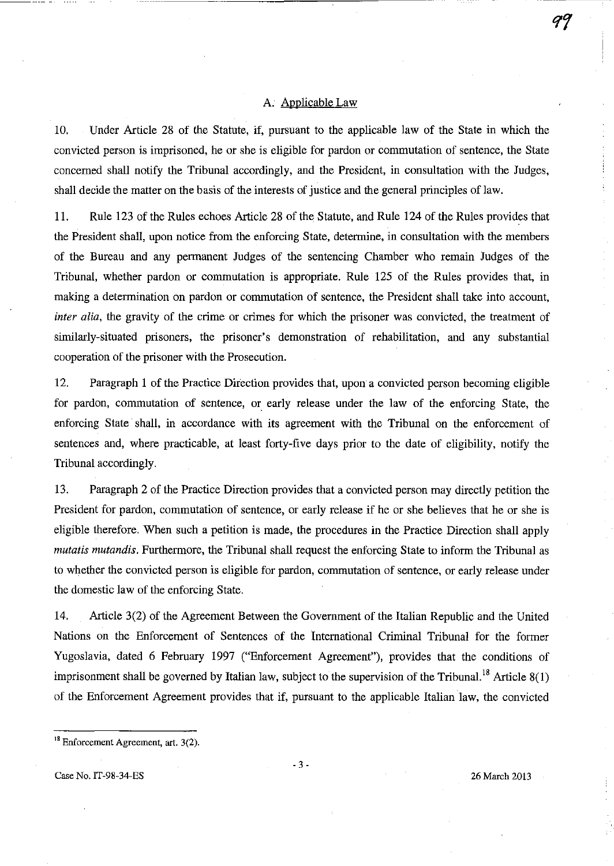#### A. Applicable Law

10. Under Article 28 of the Statute, if, pursuant to the applicable law of the State in which the convicted person is imprisoned, he or she is eligible for pardon or commutation of sentence, the State concerned shall notify the Tribunal accordingly, and the President, in consultation with the Judges, shall decide the matter on the basis of the interests of justice and the general principles of law.

11. Rule 123 of the Rules echoes Article 28 of the Statute, and Rule 124 of the Rules provides that the President shall, upon notice from the enforcing State, determine, in consultation with the members of the Bureau and any permanent Judges of the sentencing Chamber who remain Judges of the Tribunal, whether pardon or commutation is appropriate. Rule 125 of the Rules provides that, in making a determination on pardon or commutation of sentence, the President shall take into account, *inter alia,* the gravity of the crime or crimes for which the prisoner was convicted, the treatment of similarly-situated prisoners, the prisoner's demonstration of rehabilitation, and any substantial cooperation of the prisoner with the Prosecution.

12. Paragraph 1 of the Practice Direction provides that, upon a convicted person becoming eligible for pardon, commutation of sentence, or early release under the law of the enforcing State, the enforcing State shall, in accordance with its agreement with the Tribunal on the enforcement of sentences and, where practicable, at least forty-five days prior to the date of eligibility, notify the Tribunal accordingly.

13. Paragraph 2 of the Practice Direction provides that a convicted person may directly petition the President for pardon, commutation of sentence, or early release if he or she believes that he or she is eligible therefore. When such a petition is made, the procedures in the Practice Direction shall apply *mutatis mutandis.* Furthermore, the Tribunal shall request the enforcing State to inform the Tribunal as to whether the convicted person is eligible for pardon, commutation of sentence, or early release under the domestic law of the enforcing State.

14. Article 3(2) of the Agreement Between the Government of the Italian Republic and the United Nations on the Enforcement of Sentences of the International Criminal Tribunal for the former Yugoslavia, dated 6 February 1997 ("Enforcement Agreement"), provides that the conditions of imprisonment shall be governed by Italian law, subject to the supervision of the Tribunal.<sup>18</sup> Article  $8(1)$ of the Enforcement Agreement provides that if, pursuant to the applicable Italian law, the convicted

Case No. IT-98-34-ES 26 March 2013

<sup>&</sup>lt;sup>18</sup> Enforcement Agreement, art. 3(2).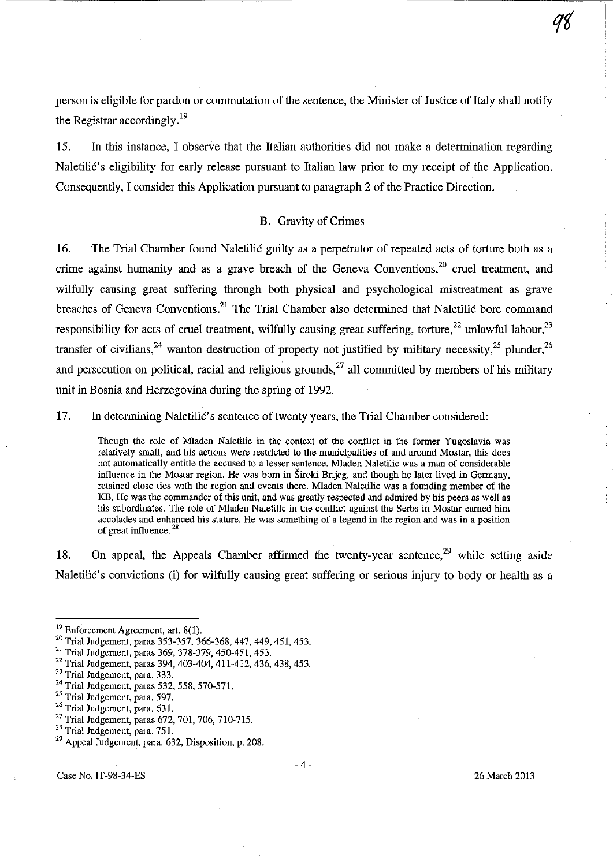person is eligible for pardon or commutation of the sentence, the Minister of Justice of Italy shall notify the Registrar accordingly.<sup>19</sup>

15. In this instance, I observe that the Italian authorities did not make a determination regarding Naletilic's eligibility for early release pursuant to Italian law prior to my receipt of the Application. Consequently, I consider this Application pursuant to paragraph 2 of the Practice Direction.

#### B. Gravity of Crimes

16. The Trial Chamber found Naletilic guilty as a perpetrator of repeated acts of torture both as a crime against humanity and as a grave breach of the Geneva Conventions,  $20$  cruel treatment, and wilfully causing great suffering through both physical and psychological mistreatment as grave breaches of Geneva Conventions.<sup>21</sup> The Trial Chamber also determined that Naletilic bore command responsibility for acts of cruel treatment, wilfully causing great suffering, torture,<sup>22</sup> unlawful labour,<sup>23</sup> transfer of civilians,<sup>24</sup> wanton destruction of property not justified by military necessity,<sup>25</sup> plunder,<sup>26</sup> and persecution on political, racial and religious grounds,<sup>27</sup> all committed by members of his military unit in Bosnia and Herzegovina during the spring of 1992.

17. In determining Naletilic's sentence of twenty years, the Trial Chamber considered:

Though the role of Mladen Naletilic in the context of the conflict in the former Yugoslavia was **relatively small, and his actions were restricted to the municipalities of and around Mostar, this does not automatically entitle the accused to a lesser sentence. MIaden Naletilic was a man of considerable**  influence in the Mostar region. He was born in Siroki Brijeg, and though he later lived in Germany, **retained close ties with the region and events there. MIaden Naletilic was a founding member of the**  KB. He was the commander of this unit, and was greatly respected and admired by his peers as well as his subordinates. The role of Mladen Naletilic in the conflict against the Serbs in Mostar earned him **accolades and enhanced his stature. He was something of a legend in the region and was in a position of great influence.** <sup>28</sup>

18. On appeal, the Appeals Chamber affirmed the twenty-year sentence,  $29$  while setting aside Naletilic's convictions (i) for wilfully causing great suffering or serious injury to body or health as a

- <sup>23</sup> Trial Judgement, para. 333.
- <sup>24</sup> Trial Judgement, paras 532, 558, 570-571.

<sup>26</sup> Trial Judgement, para. 631.

 $19$  Enforcement Agreement, art.  $8(1)$ .

<sup>&</sup>lt;sup>20</sup> Trial Judgement, paras 353-357, 366-368, 447, 449, 451, 453.

<sup>21</sup> Trial Judgement, paras 369, 378-379, 450-451, 453.

<sup>22</sup> Trial Judgement. paras 394, 403-404, 411-412, 436, 438, 453.

<sup>&</sup>lt;sup>25</sup> Trial Judgement, para. 597.

<sup>27</sup> Trial Judgement, paras 672, 701, 706, 710-715.

<sup>&</sup>lt;sup>28</sup> Trial Judgement, para. 751.

<sup>29</sup> Appeal Judgement, para. 632, Disposition, p. 208.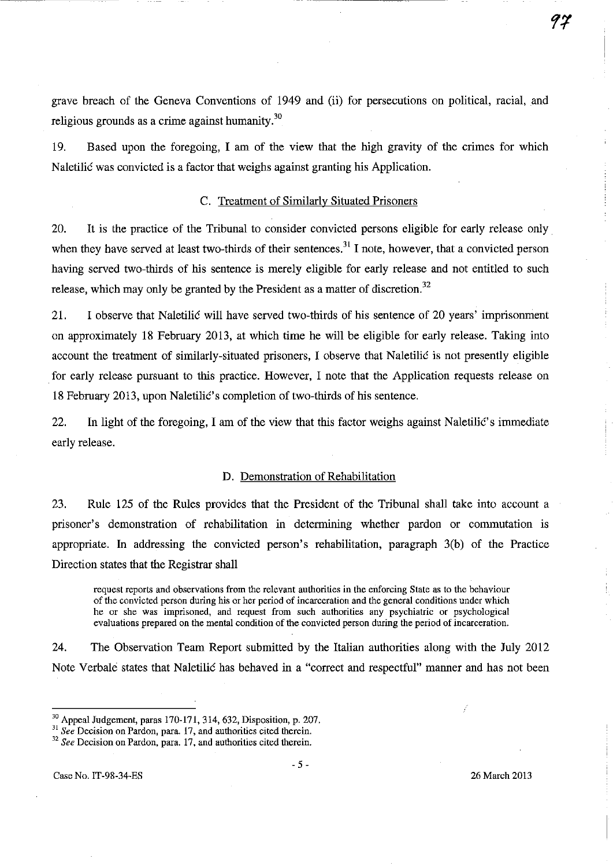grave breach of the Geneva Conventions of 1949 and (ii) for persecutions on political, racial, and religious grounds as a crime against humanity. $30$ 

-------------------~-. ------

19. Based upon the foregoing, I am of the view that the high gravity of the crimes for which Naletilic was convicted is a factor that weighs against granting his Application.

#### C. Treatment of Similarly Situated Prisoners

20. It is the practice of the Tribunal to consider convicted persons eligible for early release only. when they have served at least two-thirds of their sentences.<sup>31</sup> I note, however, that a convicted person having served two-thirds of his sentence is merely eligible for early release and not entitled to such release, which may only be granted by the President as a matter of discretion.<sup>32</sup>

21. I observe that Naletilic will have served two-thirds of his sentence of 20 years' imprisonment on approximately 18 February 2013, at which time he will be eligible for early release. Taking into account the treatment of similarly-situated prisoners, I observe that Naletilic is not presently eligible for early release pursuant to this practice. However, I note that the Application requests release on 18 February 2013, upon Naletilic's completion of two-thirds of his sentence.

22. In light of the foregoing, I am of the view that this factor weighs against Naletilic's immediate early release.

#### D. Demonstration of Rehabilitation

23. Rule 125 of the Rules provides that the President of the Tribunal shall take into account a prisoner's demonstration of rehabilitation in determining whether pardon or commutation is appropriate. In addressing the convicted person's rehabilitation, paragraph 3(b) of the Practice Direction states that the Registrar shall

**request reports and observations from the relevant authorities in the enforcing State as to the behaviour of the convicted person during his or her period of incarceration and the general conditions under which he or she was imprisoned, and request from such authorities any psychiatric or psychological evaluations prepared on the mental condition of the convicted person during the period of incarceration.** 

24. The Observation Team Report submitted by the Italian authorities along with the July 2012 Note Verbale states that Naletilic has behaved in a "correct and respectful" manner and has not been

<sup>30</sup> Appeal Judgement, paras 170-171, 314, 632, Disposition, p. 207.

**<sup>31</sup>***See* **Decision on Pardon, para. 17, and authorities cited therein.** 

<sup>32</sup>*See* **Decision on Pardon, para. 17. and authorities cited therein.**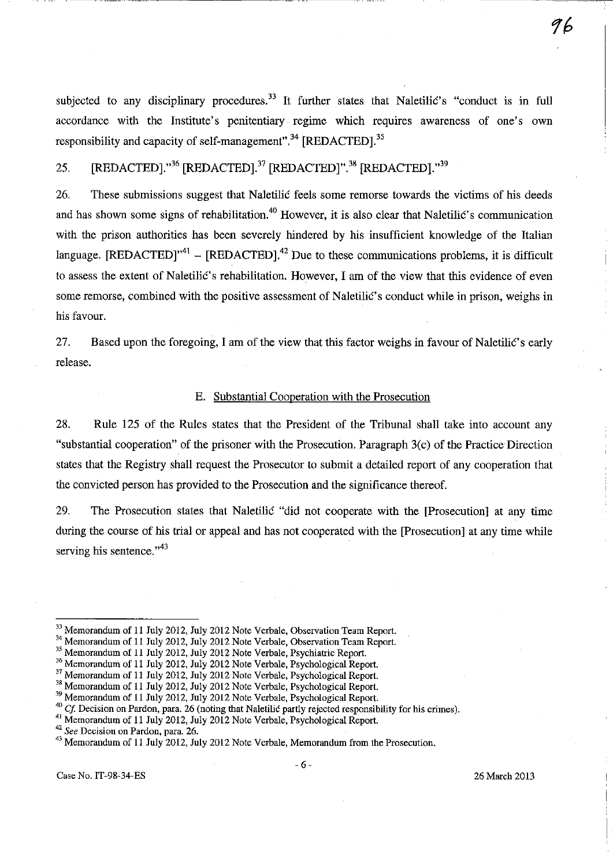subjected to any disciplinary procedures.<sup>33</sup> It further states that Naletilic's "conduct is in full accordance with the Institute's penitentiary regime which requires awareness of one's own responsibility and capacity of self-management".<sup>34</sup> [REDACTED].<sup>35</sup>

# 25. [REDACTED]."<sup>36</sup> [REDACTED].<sup>37</sup> [REDACTED]".<sup>38</sup> [REDACTED]."<sup>39</sup>

26. These submissions suggest that Naletilic feels some remorse towards the victims of his deeds and has shown some signs of rehabilitation.<sup>40</sup> However, it is also clear that Naletilic's communication with the prison authorities has been severely hindered by his insufficient knowledge of the Italian language.  $[REDACTED]^{41} - [REDACTED]^{42}$  Due to these communications problems, it is difficult to assess the extent of Naletilic's rehabilitation. However, I am of the view that this evidence of even some remorse, combined with the positive assessment of Naletilic's conduct while in prison, weighs in his favour.

27. Based upon the foregoing, I am of the view that this factor weighs in favour of Naletilic's early release.

#### E. Substantial Cooperation with the Prosecution

28. Rule 125 of the Rules states that the President of the Tribunal shall take into account any "substantial cooperation" of the prisoner with the Prosecution. Paragraph  $3(c)$  of the Practice Direction states that the Registry shall request the Prosecutor to submit a detailed report of any cooperation that the convicted person has provided to the Prosecution and the significance thereof.

29. The Prosecution states that Naletilic "did not cooperate with the [Prosecution) at any time during the course of his trial or appeal and has not cooperated with the [Prosecution) at any time while serving his sentence."<sup>43</sup>

<sup>&</sup>lt;sup>33</sup> Memorandum of 11 July 2012, July 2012 Note Verbale, Observation Team Report.

<sup>&</sup>lt;sup>34</sup> Memorandum of 11 July 2012, July 2012 Note Verbale, Observation Team Report.

<sup>&</sup>lt;sup>35</sup> Memorandum of 11 July 2012, July 2012 Note Verbale, Psychiatric Report.

<sup>&</sup>lt;sup>36</sup> Memorandum of 11 July 2012, July 2012 Note Verbale, Psychological Report.

<sup>&</sup>lt;sup>37</sup> Memorandum of 11 July 2012, July 2012 Note Verbale, Psychological Report.

<sup>&</sup>lt;sup>38</sup> Memorandum of 11 July 2012, July 2012 Note Verbale, Psychological Report.

<sup>&</sup>lt;sup>39</sup> Memorandum of 11 July 2012, July 2012 Note Verbale, Psychological Report.

*<sup>40</sup>*Cf Decision on Pardon, para. 26 (noting that Naletilic partly rejected responsibility for his crimes).

<sup>&</sup>lt;sup>41</sup> Memorandum of 11 July 2012, July 2012 Note Verbale, Psychological Report.

**<sup>42</sup>***See* **Decision on Pardon, para. 26.** 

<sup>&</sup>lt;sup>43</sup> Memorandum of 11 July 2012, July 2012 Note Verbale, Memorandum from the Prosecution.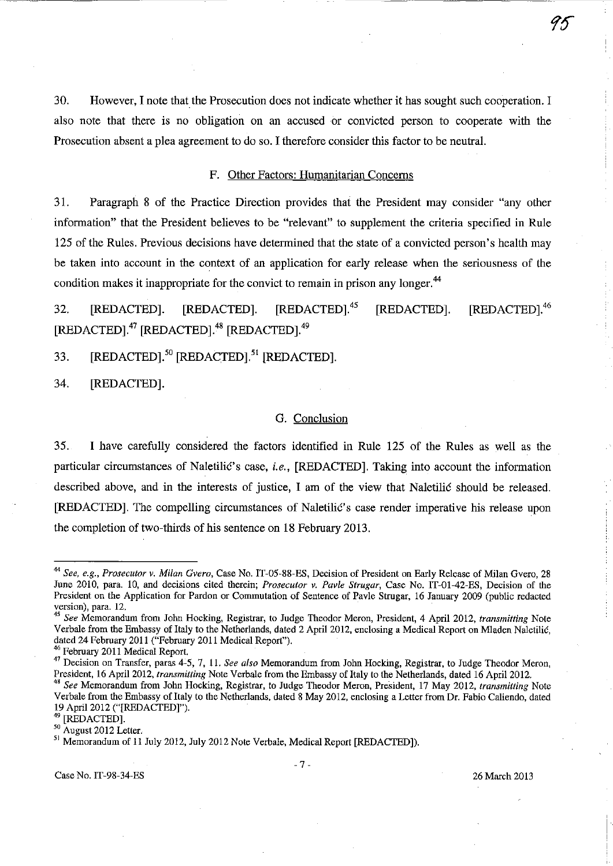30. However, I note that the Prosecution does not indicate whether it has sought such cooperation. I also note that there is no obligation on an accused or convicted person to cooperate with the Prosecution absent a plea agreement to do so. I therefore consider this factor to be neutral.

#### F. Other Factors: Humanitarian Concerns

31. Paragraph 8 of the Practice Direction provides that the President may consider "any other information" that the President believes to be "relevant" to supplement the criteria specified in Rule 125 ofthe Rules. Previous decisions have determined that the state of a convicted person's health may be taken into account in the context of an application for early release when the seriousness of the condition makes it inappropriate for the convict to remain in prison any longer. <sup>44</sup>

32. [REDACTED]. [REDACTED]. [REDACTED].<sup>45</sup> [REDACTED]. [REDACTED].<sup>46</sup> [REDACTED].<sup>47</sup> [REDACTED].<sup>48</sup> [REDACTED].<sup>49</sup>

33. [REDACTED].<sup>50</sup> [REDACTED].<sup>51</sup> [REDACTED].

34. [REDACTEDj.

#### G. Conclusion

35. I have carefully considered the factors identified in Rule 125 of the Rules as well as the particular circumstances of Naletilić's case, *i.e.*, [REDACTED]. Taking into account the information described above, and in the interests of justice, I am of the view that Naletilic shonld be released. [REDACTEDj. The compelling circumstances of Naletilic's case render imperative his release upon the completion of two-thirds of his sentence on 18 February 2013.

*<sup>44</sup> See. e.g., Prosecutor v. Milan Overo,* Case No. IT-05-88-ES, Decision of President on Early Release of Milan Gvero, 28 June 2010, para. 10, and decisions cited therein; *Prosecutor v. Pavle Strugar,* Case No. IT-0I-42-ES, Decision of the President on the Application for Pardon or Commutation of Sentence of Pavle Strugar, 16 January 2009 (public redacted version), para. 12.

*<sup>45</sup> See* **Memorandum from John Hocking, Registrar, to Judge Theodor Meron, President, 4 April 2012,** *transmitting* **Note**  Verbale from the Embassy of Italy to the Netherlands, dated 2 April 2012, enclosing a Medical Report on Mladen Naletilic. dated 24 February 2011 ("February 2011 Medical Report").

<sup>46</sup> February 2011 Medical Report.

<sup>41</sup> Decision on Transfer, paras 4-5,7, 11. *See also* Memorandum from John Hocking, Registrar. to Judge Theodor Meron, President, 16 April 2012, *transmitting* Note Verbale from the Embassy of Italy to the Netherlands, dated 16 April 2012.

<sup>&</sup>lt;sup>48</sup> See Memorandum from John Hocking, Registrar, to Judge Theodor Meron, President, 17 May 2012, *transmitting* Note Verbale from the Embassy of Italy to the Netherlands. dated 8 May 2012, enclosing a Letter from Dr. Fabio Caliendo, dated 19 April 2012 ("[REDACTED]").

<sup>[</sup>REDACTED].

<sup>50</sup> August 2012 Letter.

<sup>51</sup> Memorandum of 11 July 2012, July 2012 Note Verbale, Medical Report [REDACTED]).